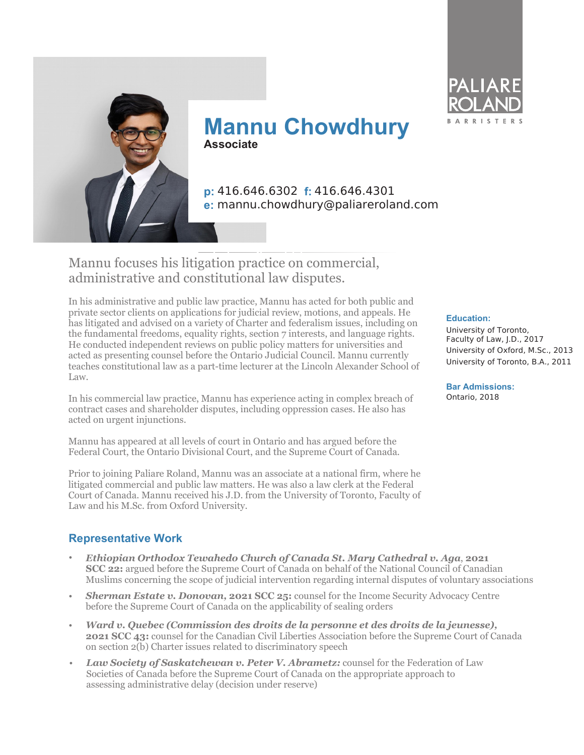



**Mannu Chowdhury Associate**

**p:** 416.646.6302 **f:** 416.646.4301 **e:** mannu.chowdhury@paliareroland.com

# Mannu focuses his litigation practice on commercial, administrative and constitutional law disputes.

In his administrative and public law practice, Mannu has acted for both public and private sector clients on applications for judicial review, motions, and appeals. He has litigated and advised on a variety of Charter and federalism issues, including on the fundamental freedoms, equality rights, section 7 interests, and language rights. He conducted independent reviews on public policy matters for universities and acted as presenting counsel before the Ontario Judicial Council. Mannu currently teaches constitutional law as a part-time lecturer at the Lincoln Alexander School of Law.

In his commercial law practice, Mannu has experience acting in complex breach of contract cases and shareholder disputes, including oppression cases. He also has acted on urgent injunctions.

Mannu has appeared at all levels of court in Ontario and has argued before the Federal Court, the Ontario Divisional Court, and the Supreme Court of Canada.

Prior to joining Paliare Roland, Mannu was an associate at a national firm, where he litigated commercial and public law matters. He was also a law clerk at the Federal Court of Canada. Mannu received his J.D. from the University of Toronto, Faculty of Law and his M.Sc. from Oxford University.

# **Representative Work**

- *Ethiopian Orthodox Tewahedo Church of Canada St. Mary Cathedral v. Aga*, **2021 SCC 22:** argued before the Supreme Court of Canada on behalf of the National Council of Canadian Muslims concerning the scope of judicial intervention regarding internal disputes of voluntary associations
- *Sherman Estate v. Donovan,* **2021 SCC 25:** counsel for the Income Security Advocacy Centre before the Supreme Court of Canada on the applicability of sealing orders
- *Ward v. Quebec (Commission des droits de la personne et des droits de la jeunesse),*  **2021 SCC 43:** counsel for the Canadian Civil Liberties Association before the Supreme Court of Canada on section 2(b) Charter issues related to discriminatory speech
- *Law Society of Saskatchewan v. Peter V. Abrametz:* counsel for the Federation of Law Societies of Canada before the Supreme Court of Canada on the appropriate approach to assessing administrative delay (decision under reserve)

#### **Education:**

University of Toronto, Faculty of Law, J.D., 2017 University of Oxford, M.Sc., 2013 University of Toronto, B.A., 2011

**Bar Admissions:** Ontario, 2018